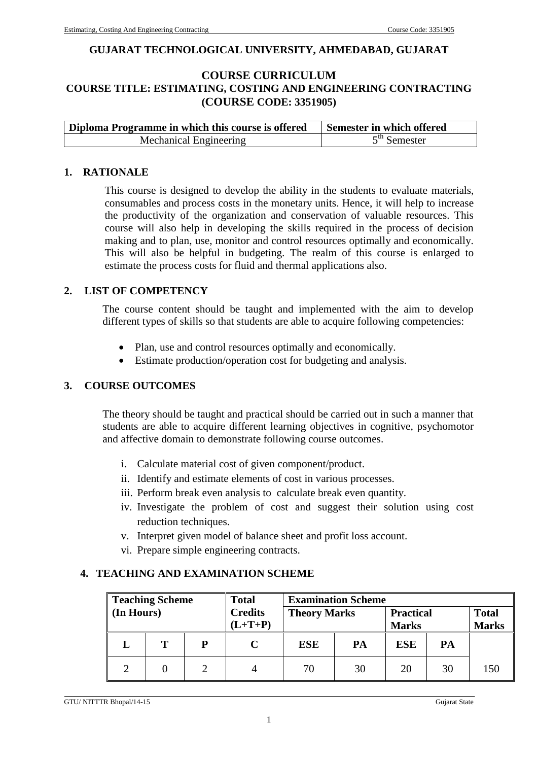#### **GUJARAT TECHNOLOGICAL UNIVERSITY, AHMEDABAD, GUJARAT**

# **COURSE CURRICULUM COURSE TITLE: ESTIMATING, COSTING AND ENGINEERING CONTRACTING (COURSE CODE: 3351905)**

| Diploma Programme in which this course is offered | Semester in which offered |
|---------------------------------------------------|---------------------------|
| Mechanical Engineering                            | $5th$ Semester            |

#### **1. RATIONALE**

This course is designed to develop the ability in the students to evaluate materials, consumables and process costs in the monetary units. Hence, it will help to increase the productivity of the organization and conservation of valuable resources. This course will also help in developing the skills required in the process of decision making and to plan, use, monitor and control resources optimally and economically. This will also be helpful in budgeting. The realm of this course is enlarged to estimate the process costs for fluid and thermal applications also.

#### **2. LIST OF COMPETENCY**

The course content should be taught and implemented with the aim to develop different types of skills so that students are able to acquire following competencies:

- Plan, use and control resources optimally and economically.
- Estimate production/operation cost for budgeting and analysis.

#### **3. COURSE OUTCOMES**

The theory should be taught and practical should be carried out in such a manner that students are able to acquire different learning objectives in cognitive, psychomotor and affective domain to demonstrate following course outcomes.

- i. Calculate material cost of given component/product.
- ii. Identify and estimate elements of cost in various processes.
- iii. Perform break even analysis to calculate break even quantity.
- iv. Investigate the problem of cost and suggest their solution using cost reduction techniques.
- v. Interpret given model of balance sheet and profit loss account.
- vi. Prepare simple engineering contracts.

#### **4. TEACHING AND EXAMINATION SCHEME**

| <b>Teaching Scheme</b><br><b>Total</b><br><b>Credits</b><br>(In Hours) |   | <b>Examination Scheme</b><br><b>Theory Marks</b><br><b>Practical</b> |           |                  |    | <b>Total</b>                     |    |              |
|------------------------------------------------------------------------|---|----------------------------------------------------------------------|-----------|------------------|----|----------------------------------|----|--------------|
|                                                                        | т | D                                                                    | $(L+T+P)$ | <b>ESE</b><br>PA |    | <b>Marks</b><br><b>ESE</b><br>PA |    | <b>Marks</b> |
|                                                                        |   |                                                                      |           | 70               | 30 | 20                               | 30 | 150          |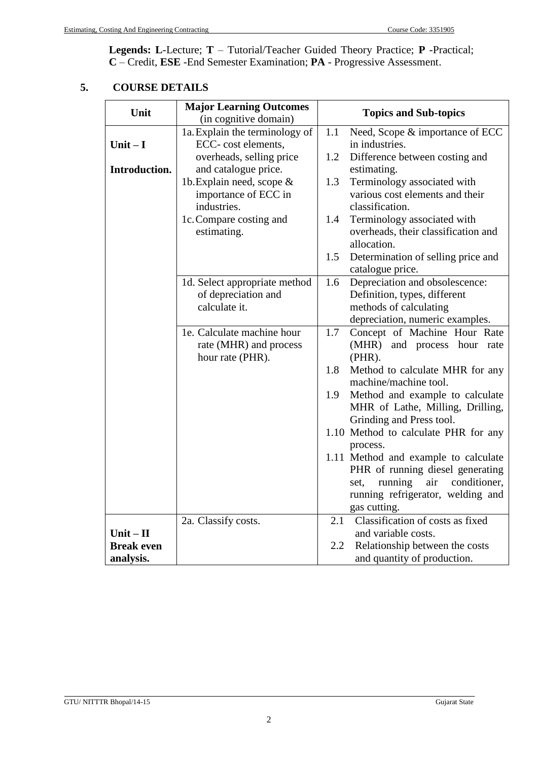**Legends: L**-Lecture; **T** – Tutorial/Teacher Guided Theory Practice; **P** -Practical; **C** – Credit, **ESE** -End Semester Examination; **PA** - Progressive Assessment.

# **5. COURSE DETAILS**

| Unit              | <b>Major Learning Outcomes</b><br>(in cognitive domain) | <b>Topics and Sub-topics</b> |                                                        |  |  |
|-------------------|---------------------------------------------------------|------------------------------|--------------------------------------------------------|--|--|
|                   | 1a. Explain the terminology of                          | 1.1                          | Need, Scope & importance of ECC                        |  |  |
| Unit $-I$         | ECC- cost elements,                                     |                              | in industries.                                         |  |  |
|                   | overheads, selling price                                | 1.2                          | Difference between costing and                         |  |  |
| Introduction.     | and catalogue price.                                    |                              | estimating.                                            |  |  |
|                   | 1b. Explain need, scope &                               | 1.3                          | Terminology associated with                            |  |  |
|                   | importance of ECC in                                    |                              | various cost elements and their                        |  |  |
|                   | industries.                                             |                              | classification.                                        |  |  |
|                   | 1c. Compare costing and                                 | 1.4                          | Terminology associated with                            |  |  |
|                   | estimating.                                             |                              | overheads, their classification and                    |  |  |
|                   |                                                         | 1.5                          | allocation.                                            |  |  |
|                   |                                                         |                              | Determination of selling price and<br>catalogue price. |  |  |
|                   | 1d. Select appropriate method                           | 1.6                          | Depreciation and obsolescence:                         |  |  |
|                   | of depreciation and                                     |                              | Definition, types, different                           |  |  |
|                   | calculate it.                                           |                              | methods of calculating                                 |  |  |
|                   |                                                         |                              | depreciation, numeric examples.                        |  |  |
|                   | 1e. Calculate machine hour                              | 1.7                          | Concept of Machine Hour Rate                           |  |  |
|                   | rate (MHR) and process                                  |                              | (MHR) and process hour rate                            |  |  |
|                   | hour rate (PHR).                                        |                              | (PHR).                                                 |  |  |
|                   |                                                         | 1.8                          | Method to calculate MHR for any                        |  |  |
|                   |                                                         |                              | machine/machine tool.                                  |  |  |
|                   |                                                         | 1.9                          | Method and example to calculate                        |  |  |
|                   |                                                         |                              | MHR of Lathe, Milling, Drilling,                       |  |  |
|                   |                                                         |                              | Grinding and Press tool.                               |  |  |
|                   |                                                         |                              | 1.10 Method to calculate PHR for any                   |  |  |
|                   |                                                         |                              | process.                                               |  |  |
|                   |                                                         |                              | 1.11 Method and example to calculate                   |  |  |
|                   |                                                         |                              | PHR of running diesel generating                       |  |  |
|                   |                                                         |                              | running<br>conditioner,<br>air<br>set,                 |  |  |
|                   |                                                         |                              | running refrigerator, welding and                      |  |  |
|                   |                                                         |                              | gas cutting.                                           |  |  |
|                   | 2a. Classify costs.                                     | 2.1                          | Classification of costs as fixed                       |  |  |
| $Unit - II$       |                                                         |                              | and variable costs.                                    |  |  |
| <b>Break even</b> |                                                         | 2.2                          | Relationship between the costs                         |  |  |
| analysis.         |                                                         |                              | and quantity of production.                            |  |  |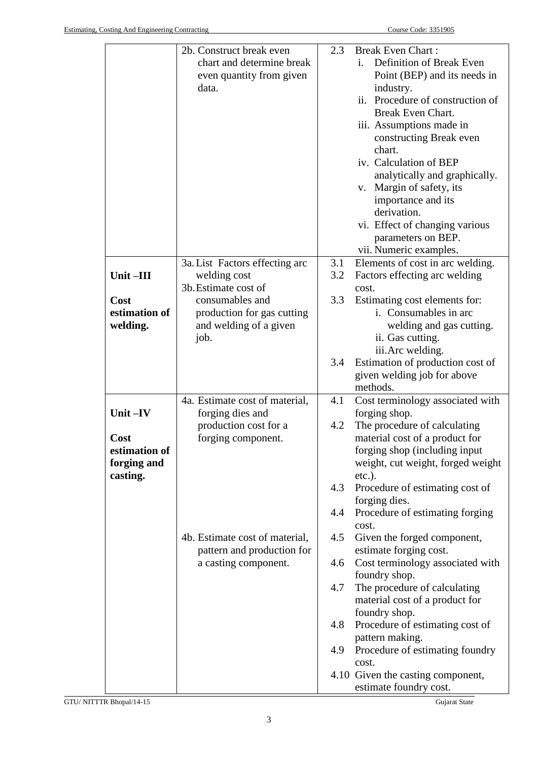|               | 2b. Construct break even       | 2.3 | <b>Break Even Chart:</b>          |
|---------------|--------------------------------|-----|-----------------------------------|
|               | chart and determine break      |     | Definition of Break Even<br>i.    |
|               | even quantity from given       |     | Point (BEP) and its needs in      |
|               | data.                          |     | industry.                         |
|               |                                |     | ii. Procedure of construction of  |
|               |                                |     | Break Even Chart.                 |
|               |                                |     | iii. Assumptions made in          |
|               |                                |     | constructing Break even           |
|               |                                |     | chart.                            |
|               |                                |     | iv. Calculation of BEP            |
|               |                                |     | analytically and graphically.     |
|               |                                |     | v. Margin of safety, its          |
|               |                                |     | importance and its                |
|               |                                |     | derivation.                       |
|               |                                |     | vi. Effect of changing various    |
|               |                                |     | parameters on BEP.                |
|               |                                |     | vii. Numeric examples.            |
|               | 3a. List Factors effecting arc | 3.1 | Elements of cost in arc welding.  |
| Unit-III      | welding cost                   | 3.2 | Factors effecting arc welding     |
|               | 3b. Estimate cost of           |     | cost.                             |
| Cost          | consumables and                | 3.3 | Estimating cost elements for:     |
| estimation of | production for gas cutting     |     | i. Consumables in arc             |
| welding.      | and welding of a given         |     | welding and gas cutting.          |
|               | job.                           |     | ii. Gas cutting.                  |
|               |                                |     | iii. Arc welding.                 |
|               |                                | 3.4 | Estimation of production cost of  |
|               |                                |     | given welding job for above       |
|               |                                |     | methods.                          |
|               | 4a. Estimate cost of material, | 4.1 | Cost terminology associated with  |
| Unit-IV       | forging dies and               |     | forging shop.                     |
|               | production cost for a          | 4.2 | The procedure of calculating      |
| Cost          | forging component.             |     | material cost of a product for    |
| estimation of |                                |     | forging shop (including input     |
| forging and   |                                |     | weight, cut weight, forged weight |
| casting.      |                                |     | $etc.$ ).                         |
|               |                                | 4.3 | Procedure of estimating cost of   |
|               |                                |     | forging dies.                     |
|               |                                | 4.4 | Procedure of estimating forging   |
|               |                                |     | cost.                             |
|               | 4b. Estimate cost of material, | 4.5 | Given the forged component,       |
|               | pattern and production for     |     | estimate forging cost.            |
|               | a casting component.           | 4.6 | Cost terminology associated with  |
|               |                                |     | foundry shop.                     |
|               |                                | 4.7 | The procedure of calculating      |
|               |                                |     | material cost of a product for    |
|               |                                |     | foundry shop.                     |
|               |                                | 4.8 | Procedure of estimating cost of   |
|               |                                |     | pattern making.                   |
|               |                                | 4.9 | Procedure of estimating foundry   |
|               |                                |     | cost.                             |
|               |                                |     | 4.10 Given the casting component, |
|               |                                |     | estimate foundry cost.            |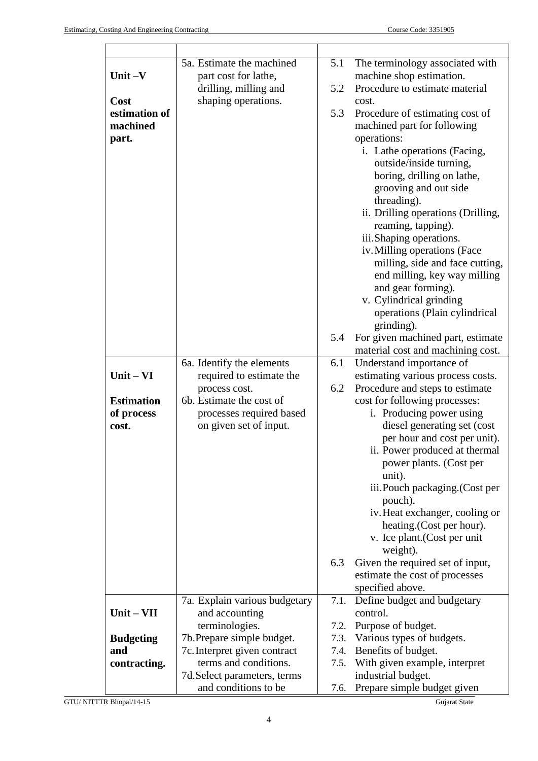$\mathbf{r}$ 

|                     | 5a. Estimate the machined                                  | 5.1  | The terminology associated with                            |
|---------------------|------------------------------------------------------------|------|------------------------------------------------------------|
| Unit $-V$           | part cost for lathe,                                       | 5.2  | machine shop estimation.<br>Procedure to estimate material |
| Cost                | drilling, milling and<br>shaping operations.               |      | cost.                                                      |
| estimation of       |                                                            | 5.3  | Procedure of estimating cost of                            |
| machined            |                                                            |      | machined part for following                                |
| part.               |                                                            |      | operations:                                                |
|                     |                                                            |      | i. Lathe operations (Facing,                               |
|                     |                                                            |      | outside/inside turning,                                    |
|                     |                                                            |      | boring, drilling on lathe,                                 |
|                     |                                                            |      | grooving and out side                                      |
|                     |                                                            |      | threading).                                                |
|                     |                                                            |      | ii. Drilling operations (Drilling,                         |
|                     |                                                            |      | reaming, tapping).                                         |
|                     |                                                            |      | iii.Shaping operations.                                    |
|                     |                                                            |      | iv. Milling operations (Face                               |
|                     |                                                            |      | milling, side and face cutting,                            |
|                     |                                                            |      | end milling, key way milling                               |
|                     |                                                            |      | and gear forming).                                         |
|                     |                                                            |      | v. Cylindrical grinding<br>operations (Plain cylindrical   |
|                     |                                                            |      | grinding).                                                 |
|                     |                                                            | 5.4  | For given machined part, estimate                          |
|                     |                                                            |      | material cost and machining cost.                          |
|                     | 6a. Identify the elements                                  | 6.1  | Understand importance of                                   |
| $Unit - VI$         | required to estimate the                                   |      | estimating various process costs.                          |
|                     | process cost.                                              | 6.2  | Procedure and steps to estimate                            |
| <b>Estimation</b>   | 6b. Estimate the cost of                                   |      | cost for following processes:                              |
| of process          | processes required based                                   |      | i. Producing power using                                   |
| cost.               | on given set of input.                                     |      | diesel generating set (cost                                |
|                     |                                                            |      | per hour and cost per unit).                               |
|                     |                                                            |      | ii. Power produced at thermal                              |
|                     |                                                            |      | power plants. (Cost per                                    |
|                     |                                                            |      | unit).<br>iii.Pouch packaging.(Cost per                    |
|                     |                                                            |      | pouch).                                                    |
|                     |                                                            |      | iv. Heat exchanger, cooling or                             |
|                     |                                                            |      | heating. (Cost per hour).                                  |
|                     |                                                            |      | v. Ice plant. (Cost per unit                               |
|                     |                                                            |      | weight).                                                   |
|                     |                                                            | 6.3  | Given the required set of input,                           |
|                     |                                                            |      | estimate the cost of processes                             |
|                     |                                                            |      | specified above.                                           |
|                     | 7a. Explain various budgetary                              | 7.1. | Define budget and budgetary                                |
| $Unit - VII$        | and accounting                                             |      | control.                                                   |
|                     | terminologies.                                             | 7.2. | Purpose of budget.                                         |
| <b>Budgeting</b>    | 7b. Prepare simple budget.<br>7c. Interpret given contract | 7.4. | 7.3. Various types of budgets.<br>Benefits of budget.      |
| and<br>contracting. | terms and conditions.                                      | 7.5. | With given example, interpret                              |
|                     | 7d. Select parameters, terms                               |      | industrial budget.                                         |
|                     | and conditions to be                                       | 7.6. | Prepare simple budget given                                |
|                     |                                                            |      |                                                            |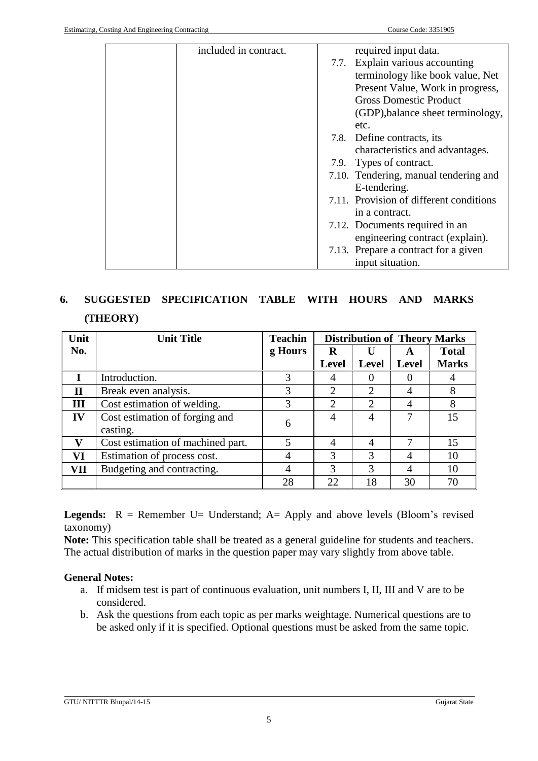| included in contract. | required input data.                    |
|-----------------------|-----------------------------------------|
|                       | 7.7. Explain various accounting         |
|                       | terminology like book value, Net        |
|                       | Present Value, Work in progress,        |
|                       | <b>Gross Domestic Product</b>           |
|                       | (GDP), balance sheet terminology,       |
|                       | etc.                                    |
|                       | 7.8. Define contracts, its              |
|                       | characteristics and advantages.         |
|                       | 7.9. Types of contract.                 |
|                       | 7.10. Tendering, manual tendering and   |
|                       | E-tendering.                            |
|                       | 7.11. Provision of different conditions |
|                       | in a contract.                          |
|                       | 7.12. Documents required in an          |
|                       | engineering contract (explain).         |
|                       | 7.13. Prepare a contract for a given    |
|                       | input situation.                        |

# **6. SUGGESTED SPECIFICATION TABLE WITH HOURS AND MARKS (THEORY)**

| Unit         | <b>Unit Title</b>                 | <b>Teachin</b> | <b>Distribution of Theory Marks</b> |                |                |              |
|--------------|-----------------------------------|----------------|-------------------------------------|----------------|----------------|--------------|
| No.          |                                   | g Hours        | R                                   | U              | A              | <b>Total</b> |
|              |                                   |                | <b>Level</b>                        | Level          | <b>Level</b>   | <b>Marks</b> |
|              | Introduction.                     | 3              | 4                                   |                |                |              |
| $\mathbf{I}$ | Break even analysis.              | 3              | $\overline{2}$                      | 2              | $\overline{4}$ | 8            |
| III          | Cost estimation of welding.       | 3              | $\overline{2}$                      | 2              | $\overline{4}$ | 8            |
| IV           | Cost estimation of forging and    | 6              | 4                                   | 4              | 7              | 15           |
|              | casting.                          |                |                                     |                |                |              |
| v            | Cost estimation of machined part. | 5              | 4                                   | $\overline{4}$ | 7              | 15           |
| VI           | Estimation of process cost.       | 4              | 3                                   | 3              | 4              | 10           |
| <b>VII</b>   | Budgeting and contracting.        | 4              | 3                                   | 3              | 4              | 10           |
|              |                                   | 28             | 22                                  | 18             | 30             | 70           |

**Legends:**  $R =$  Remember U= Understand;  $A =$  Apply and above levels (Bloom's revised taxonomy)

**Note:** This specification table shall be treated as a general guideline for students and teachers. The actual distribution of marks in the question paper may vary slightly from above table.

# **General Notes:**

- a. If midsem test is part of continuous evaluation, unit numbers I, II, III and V are to be considered.
- b. Ask the questions from each topic as per marks weightage. Numerical questions are to be asked only if it is specified. Optional questions must be asked from the same topic.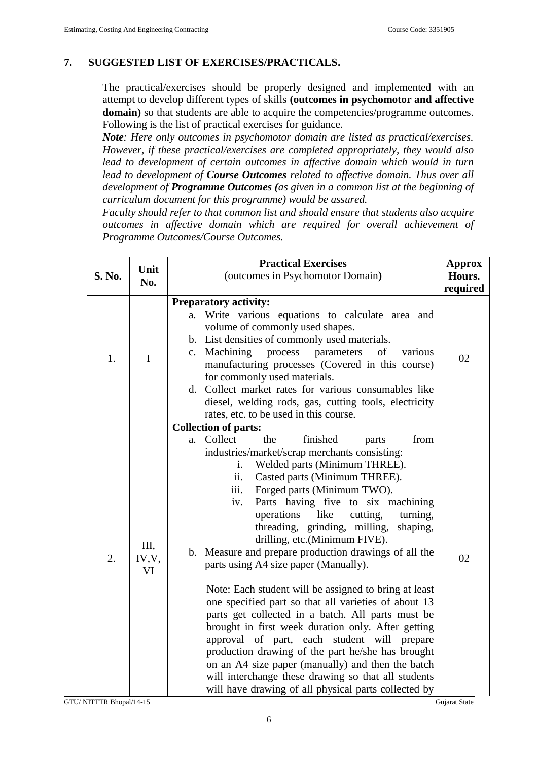### **7. SUGGESTED LIST OF EXERCISES/PRACTICALS.**

The practical/exercises should be properly designed and implemented with an attempt to develop different types of skills **(outcomes in psychomotor and affective domain)** so that students are able to acquire the competencies/programme outcomes. Following is the list of practical exercises for guidance.

*Note: Here only outcomes in psychomotor domain are listed as practical/exercises. However, if these practical/exercises are completed appropriately, they would also*  lead to development of certain outcomes in affective domain which would in turn *lead to development of Course Outcomes related to affective domain. Thus over all development of Programme Outcomes (as given in a common list at the beginning of curriculum document for this programme) would be assured.* 

*Faculty should refer to that common list and should ensure that students also acquire outcomes in affective domain which are required for overall achievement of Programme Outcomes/Course Outcomes.*

| Unit   |                    | <b>Practical Exercises</b>                                                                                                                                                                                                                                                                                                                                                                                                                                                                                                                                                                                                                                                                                                                                                                                                                                                                                                                                                                                                             | <b>Approx</b>      |
|--------|--------------------|----------------------------------------------------------------------------------------------------------------------------------------------------------------------------------------------------------------------------------------------------------------------------------------------------------------------------------------------------------------------------------------------------------------------------------------------------------------------------------------------------------------------------------------------------------------------------------------------------------------------------------------------------------------------------------------------------------------------------------------------------------------------------------------------------------------------------------------------------------------------------------------------------------------------------------------------------------------------------------------------------------------------------------------|--------------------|
| S. No. | No.                | (outcomes in Psychomotor Domain)                                                                                                                                                                                                                                                                                                                                                                                                                                                                                                                                                                                                                                                                                                                                                                                                                                                                                                                                                                                                       | Hours.<br>required |
| 1.     | $\mathbf I$        | <b>Preparatory activity:</b><br>Write various equations to calculate area and<br>a.<br>volume of commonly used shapes.<br>b. List densities of commonly used materials.<br>c. Machining<br>parameters<br>of<br>process<br>various<br>manufacturing processes (Covered in this course)<br>for commonly used materials.<br>d. Collect market rates for various consumables like<br>diesel, welding rods, gas, cutting tools, electricity<br>rates, etc. to be used in this course.                                                                                                                                                                                                                                                                                                                                                                                                                                                                                                                                                       | 02                 |
| 2.     | Ш,<br>IV, V,<br>VI | <b>Collection of parts:</b><br>Collect<br>finished<br>the<br>from<br>parts<br>a.<br>industries/market/scrap merchants consisting:<br>Welded parts (Minimum THREE).<br>i.<br>Casted parts (Minimum THREE).<br>ii.<br>Forged parts (Minimum TWO).<br>iii.<br>Parts having five to six machining<br>iv.<br>operations<br>like<br>cutting,<br>turning,<br>threading, grinding, milling,<br>shaping,<br>drilling, etc.(Minimum FIVE).<br>b. Measure and prepare production drawings of all the<br>parts using A4 size paper (Manually).<br>Note: Each student will be assigned to bring at least<br>one specified part so that all varieties of about 13<br>parts get collected in a batch. All parts must be<br>brought in first week duration only. After getting<br>approval of part, each student will prepare<br>production drawing of the part he/she has brought<br>on an A4 size paper (manually) and then the batch<br>will interchange these drawing so that all students<br>will have drawing of all physical parts collected by | 02                 |

GTU/ NITTTR Bhopal/14-15 Gujarat State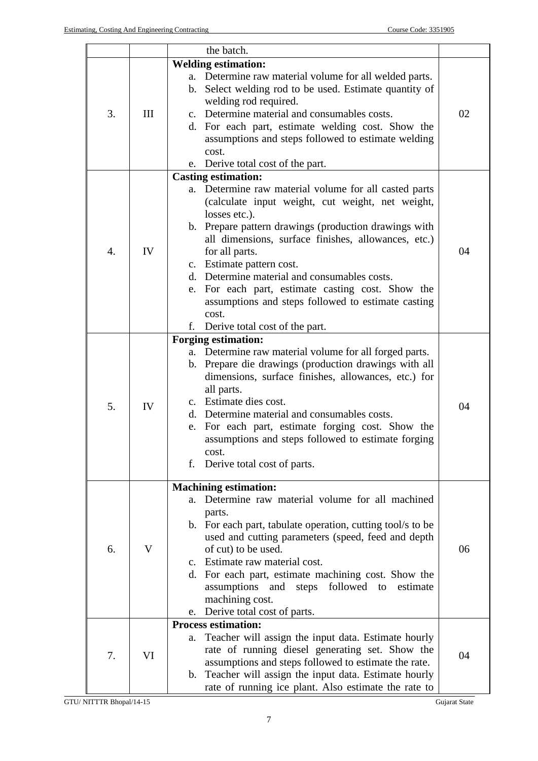|    |     | the batch.                                                                                                                                                                                                                                                                                                                                                                                                                                                                                                  |    |  |  |  |
|----|-----|-------------------------------------------------------------------------------------------------------------------------------------------------------------------------------------------------------------------------------------------------------------------------------------------------------------------------------------------------------------------------------------------------------------------------------------------------------------------------------------------------------------|----|--|--|--|
|    |     | <b>Welding estimation:</b>                                                                                                                                                                                                                                                                                                                                                                                                                                                                                  |    |  |  |  |
| 3. | III | a. Determine raw material volume for all welded parts.<br>Select welding rod to be used. Estimate quantity of<br>b.<br>welding rod required.<br>c. Determine material and consumables costs.<br>d. For each part, estimate welding cost. Show the<br>assumptions and steps followed to estimate welding<br>cost.<br>e. Derive total cost of the part.                                                                                                                                                       | 02 |  |  |  |
|    |     | <b>Casting estimation:</b>                                                                                                                                                                                                                                                                                                                                                                                                                                                                                  |    |  |  |  |
| 4. | IV  | Determine raw material volume for all casted parts<br>a.<br>(calculate input weight, cut weight, net weight,<br>losses etc.).<br>b. Prepare pattern drawings (production drawings with<br>all dimensions, surface finishes, allowances, etc.)<br>for all parts.<br>c. Estimate pattern cost.<br>d. Determine material and consumables costs.<br>For each part, estimate casting cost. Show the<br>e.<br>assumptions and steps followed to estimate casting<br>cost.<br>f.<br>Derive total cost of the part. | 04 |  |  |  |
| 5. | IV  | <b>Forging estimation:</b><br>Determine raw material volume for all forged parts.<br>a.<br>Prepare die drawings (production drawings with all<br>b.<br>dimensions, surface finishes, allowances, etc.) for<br>all parts.<br>c. Estimate dies cost.<br>d. Determine material and consumables costs.<br>For each part, estimate forging cost. Show the<br>e.<br>assumptions and steps followed to estimate forging<br>cost.<br>f.<br>Derive total cost of parts.                                              | 04 |  |  |  |
| 6. | V   | <b>Machining estimation:</b><br>Determine raw material volume for all machined<br>a.<br>parts.<br>b. For each part, tabulate operation, cutting tool/s to be<br>used and cutting parameters (speed, feed and depth<br>of cut) to be used.<br>c. Estimate raw material cost.<br>d. For each part, estimate machining cost. Show the<br>steps followed<br>assumptions<br>and<br>to<br>estimate<br>machining cost.<br>Derive total cost of parts.<br>e.                                                        | 06 |  |  |  |
|    |     | <b>Process estimation:</b>                                                                                                                                                                                                                                                                                                                                                                                                                                                                                  |    |  |  |  |
| 7. | VI  | Teacher will assign the input data. Estimate hourly<br>a.<br>rate of running diesel generating set. Show the<br>assumptions and steps followed to estimate the rate.<br>Teacher will assign the input data. Estimate hourly<br>$b_{\cdot}$<br>rate of running ice plant. Also estimate the rate to                                                                                                                                                                                                          | 04 |  |  |  |

GTU/ NITTTR Bhopal/14-15 Gujarat State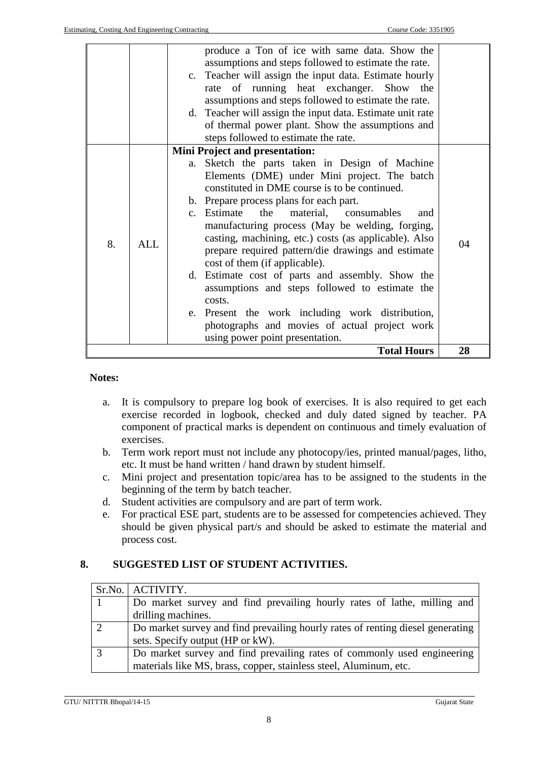|    |            | produce a Ton of ice with same data. Show the<br>assumptions and steps followed to estimate the rate.<br>c. Teacher will assign the input data. Estimate hourly<br>rate of running heat exchanger.<br>Show the<br>assumptions and steps followed to estimate the rate.<br>d. Teacher will assign the input data. Estimate unit rate<br>of thermal power plant. Show the assumptions and<br>steps followed to estimate the rate.                                                                                                                                                                                                                                                                                                                   |    |
|----|------------|---------------------------------------------------------------------------------------------------------------------------------------------------------------------------------------------------------------------------------------------------------------------------------------------------------------------------------------------------------------------------------------------------------------------------------------------------------------------------------------------------------------------------------------------------------------------------------------------------------------------------------------------------------------------------------------------------------------------------------------------------|----|
| 8. | <b>ALL</b> | <b>Mini Project and presentation:</b><br>a. Sketch the parts taken in Design of Machine<br>Elements (DME) under Mini project. The batch<br>constituted in DME course is to be continued.<br>b. Prepare process plans for each part.<br>c. Estimate the<br>material, consumables<br>and<br>manufacturing process (May be welding, forging,<br>casting, machining, etc.) costs (as applicable). Also<br>prepare required pattern/die drawings and estimate<br>cost of them (if applicable).<br>d. Estimate cost of parts and assembly. Show the<br>assumptions and steps followed to estimate the<br>costs.<br>e. Present the work including work distribution,<br>photographs and movies of actual project work<br>using power point presentation. | 04 |
|    |            | <b>Total Hours</b>                                                                                                                                                                                                                                                                                                                                                                                                                                                                                                                                                                                                                                                                                                                                | 28 |

#### **Notes:**

- a. It is compulsory to prepare log book of exercises. It is also required to get each exercise recorded in logbook, checked and duly dated signed by teacher. PA component of practical marks is dependent on continuous and timely evaluation of exercises.
- b. Term work report must not include any photocopy/ies, printed manual/pages, litho, etc. It must be hand written / hand drawn by student himself.
- c. Mini project and presentation topic/area has to be assigned to the students in the beginning of the term by batch teacher.
- d. Student activities are compulsory and are part of term work.
- e. For practical ESE part, students are to be assessed for competencies achieved. They should be given physical part/s and should be asked to estimate the material and process cost.

### **8. SUGGESTED LIST OF STUDENT ACTIVITIES.**

| Sr.No.   ACTIVITY.                                                             |
|--------------------------------------------------------------------------------|
| Do market survey and find prevailing hourly rates of lathe, milling and        |
| drilling machines.                                                             |
| Do market survey and find prevailing hourly rates of renting diesel generating |
| sets. Specify output (HP or kW).                                               |
| Do market survey and find prevailing rates of commonly used engineering        |
| materials like MS, brass, copper, stainless steel, Aluminum, etc.              |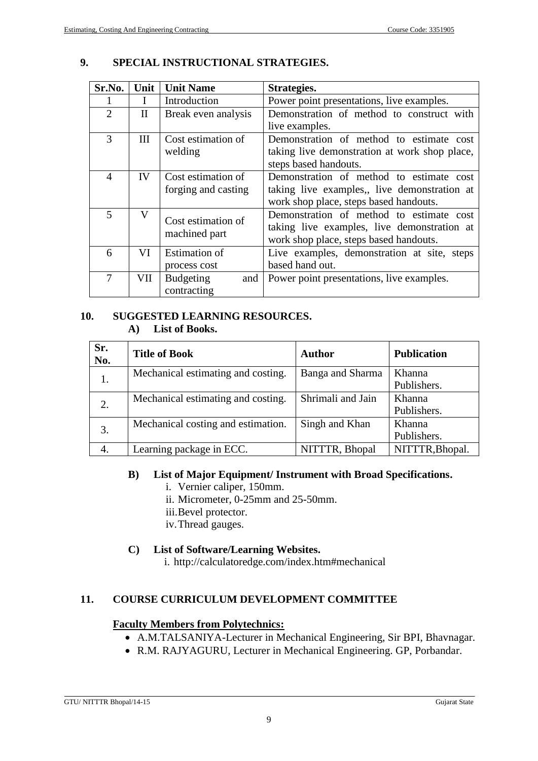# **9. SPECIAL INSTRUCTIONAL STRATEGIES.**

| Sr.No.         | Unit | <b>Unit Name</b>     | Strategies.                                   |
|----------------|------|----------------------|-----------------------------------------------|
|                |      | Introduction         | Power point presentations, live examples.     |
| $\overline{2}$ | H    | Break even analysis  | Demonstration of method to construct with     |
|                |      |                      | live examples.                                |
| 3              | Ш    | Cost estimation of   | Demonstration of method to estimate cost      |
|                |      | welding              | taking live demonstration at work shop place, |
|                |      |                      | steps based handouts.                         |
| 4              | IV   | Cost estimation of   | Demonstration of method to estimate cost      |
|                |      | forging and casting  | taking live examples,, live demonstration at  |
|                |      |                      | work shop place, steps based handouts.        |
| 5              | V    | Cost estimation of   | Demonstration of method to estimate cost      |
|                |      |                      | taking live examples, live demonstration at   |
|                |      | machined part        | work shop place, steps based handouts.        |
| 6              | VI   | <b>Estimation of</b> | Live examples, demonstration at site, steps   |
|                |      | process cost         | based hand out.                               |
|                | VII  | Budgeting<br>and     | Power point presentations, live examples.     |
|                |      | contracting          |                                               |

#### **10. SUGGESTED LEARNING RESOURCES. A) List of Books.**

| Sr.<br>No.     | <b>Title of Book</b>               | Author            | <b>Publication</b> |
|----------------|------------------------------------|-------------------|--------------------|
| 1.             | Mechanical estimating and costing. | Banga and Sharma  | Khanna             |
|                |                                    |                   | Publishers.        |
| 2.             | Mechanical estimating and costing. | Shrimali and Jain | Khanna             |
|                |                                    |                   | Publishers.        |
| $\mathfrak{Z}$ | Mechanical costing and estimation. | Singh and Khan    | Khanna             |
|                |                                    |                   | Publishers.        |
| 4.             | Learning package in ECC.           | NITTTR, Bhopal    | NITTTR, Bhopal.    |

# **B) List of Major Equipment/ Instrument with Broad Specifications.**

- i. Vernier caliper, 150mm.
- ii. Micrometer, 0-25mm and 25-50mm.
- iii.Bevel protector.
- iv.Thread gauges.

### **C) List of Software/Learning Websites.**

i. <http://calculatoredge.com/index.htm#mechanical>

# **11. COURSE CURRICULUM DEVELOPMENT COMMITTEE**

### **Faculty Members from Polytechnics:**

- A.M.TALSANIYA-Lecturer in Mechanical Engineering, Sir BPI, Bhavnagar.
- R.M. RAJYAGURU, Lecturer in Mechanical Engineering. GP, Porbandar.